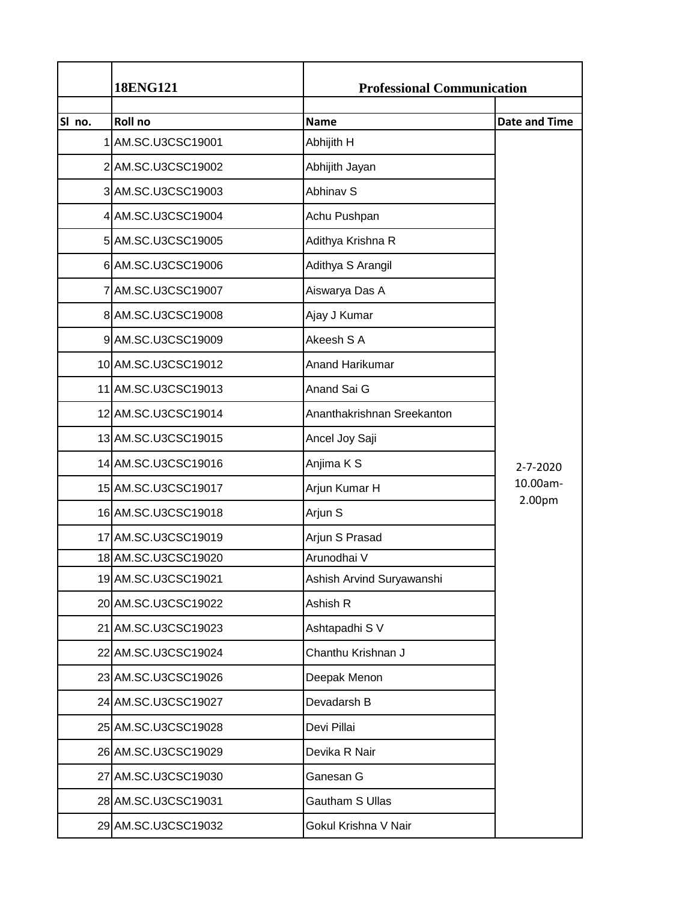|        | <b>18ENG121</b>     | <b>Professional Communication</b> |                      |
|--------|---------------------|-----------------------------------|----------------------|
| SI no. | Roll no             | <b>Name</b>                       | <b>Date and Time</b> |
|        | 1 AM.SC.U3CSC19001  | Abhijith H                        |                      |
|        | 2 AM.SC.U3CSC19002  | Abhijith Jayan                    |                      |
|        | 3 AM.SC.U3CSC19003  | <b>Abhinav S</b>                  |                      |
|        | 4 AM.SC.U3CSC19004  |                                   |                      |
|        |                     | Achu Pushpan                      |                      |
|        | 5 AM.SC.U3CSC19005  | Adithya Krishna R                 |                      |
|        | 6 AM.SC.U3CSC19006  | Adithya S Arangil                 |                      |
|        | 7 AM.SC.U3CSC19007  | Aiswarya Das A                    |                      |
|        | 8 AM.SC.U3CSC19008  | Ajay J Kumar                      |                      |
|        | 9 AM.SC.U3CSC19009  | Akeesh S A                        |                      |
|        | 10 AM.SC.U3CSC19012 | <b>Anand Harikumar</b>            |                      |
|        | 11 AM.SC.U3CSC19013 | Anand Sai G                       |                      |
|        | 12 AM.SC.U3CSC19014 | Ananthakrishnan Sreekanton        |                      |
|        | 13 AM.SC.U3CSC19015 | Ancel Joy Saji                    |                      |
|        | 14 AM.SC.U3CSC19016 | Anjima K S                        | 2-7-2020             |
|        | 15 AM.SC.U3CSC19017 | Arjun Kumar H                     | 10.00am-             |
|        | 16 AM.SC.U3CSC19018 | Arjun S                           | 2.00pm               |
|        | 17 AM.SC.U3CSC19019 | Arjun S Prasad                    |                      |
|        | 18 AM.SC.U3CSC19020 | Arunodhai V                       |                      |
|        | 19 AM.SC.U3CSC19021 | Ashish Arvind Suryawanshi         |                      |
|        | 20 AM.SC.U3CSC19022 | Ashish R                          |                      |
|        | 21 AM.SC.U3CSC19023 | Ashtapadhi S V                    |                      |
|        | 22 AM.SC.U3CSC19024 | Chanthu Krishnan J                |                      |
|        | 23 AM.SC.U3CSC19026 | Deepak Menon                      |                      |
|        | 24 AM.SC.U3CSC19027 | Devadarsh B                       |                      |
|        | 25 AM.SC.U3CSC19028 | Devi Pillai                       |                      |
|        | 26 AM.SC.U3CSC19029 | Devika R Nair                     |                      |
|        | 27 AM.SC.U3CSC19030 | Ganesan G                         |                      |
|        | 28 AM.SC.U3CSC19031 | Gautham S Ullas                   |                      |
|        | 29 AM.SC.U3CSC19032 | Gokul Krishna V Nair              |                      |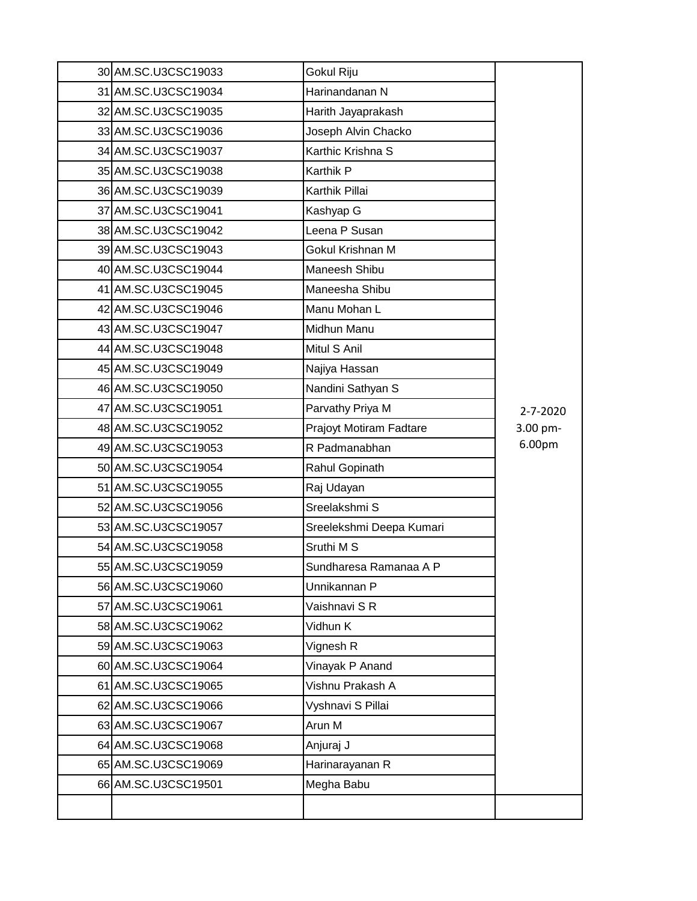| 30 AM.SC.U3CSC19033 | Gokul Riju               |          |
|---------------------|--------------------------|----------|
| 31 AM.SC.U3CSC19034 | Harinandanan N           |          |
| 32 AM.SC.U3CSC19035 | Harith Jayaprakash       |          |
| 33 AM.SC.U3CSC19036 | Joseph Alvin Chacko      |          |
| 34 AM.SC.U3CSC19037 | Karthic Krishna S        |          |
| 35 AM.SC.U3CSC19038 | Karthik P                |          |
| 36 AM.SC.U3CSC19039 | Karthik Pillai           |          |
| 37 AM.SC.U3CSC19041 | Kashyap G                |          |
| 38 AM.SC.U3CSC19042 | Leena P Susan            |          |
| 39 AM.SC.U3CSC19043 | Gokul Krishnan M         |          |
| 40 AM.SC.U3CSC19044 | Maneesh Shibu            |          |
| 41 AM.SC.U3CSC19045 | Maneesha Shibu           |          |
| 42 AM.SC.U3CSC19046 | Manu Mohan L             |          |
| 43 AM.SC.U3CSC19047 | Midhun Manu              |          |
| 44 AM.SC.U3CSC19048 | Mitul S Anil             |          |
| 45 AM.SC.U3CSC19049 | Najiya Hassan            |          |
| 46 AM.SC.U3CSC19050 | Nandini Sathyan S        |          |
| 47 AM.SC.U3CSC19051 | Parvathy Priya M         | 2-7-2020 |
| 48 AM.SC.U3CSC19052 | Prajoyt Motiram Fadtare  | 3.00 pm- |
| 49 AM.SC.U3CSC19053 | R Padmanabhan            | 6.00pm   |
| 50 AM.SC.U3CSC19054 | Rahul Gopinath           |          |
| 51 AM.SC.U3CSC19055 | Raj Udayan               |          |
| 52 AM.SC.U3CSC19056 | Sreelakshmi S            |          |
| 53 AM.SC.U3CSC19057 | Sreelekshmi Deepa Kumari |          |
| 54 AM.SC.U3CSC19058 | Sruthi M S               |          |
| 55 AM.SC.U3CSC19059 | Sundharesa Ramanaa A P   |          |
| 56 AM.SC.U3CSC19060 | Unnikannan P             |          |
| 57 AM.SC.U3CSC19061 | Vaishnavi S R            |          |
| 58 AM.SC.U3CSC19062 | Vidhun K                 |          |
| 59 AM.SC.U3CSC19063 | Vignesh R                |          |
| 60 AM.SC.U3CSC19064 | Vinayak P Anand          |          |
| 61 AM.SC.U3CSC19065 | Vishnu Prakash A         |          |
| 62 AM.SC.U3CSC19066 | Vyshnavi S Pillai        |          |
| 63 AM.SC.U3CSC19067 | Arun M                   |          |
| 64 AM.SC.U3CSC19068 | Anjuraj J                |          |
| 65 AM.SC.U3CSC19069 | Harinarayanan R          |          |
| 66 AM.SC.U3CSC19501 | Megha Babu               |          |
|                     |                          |          |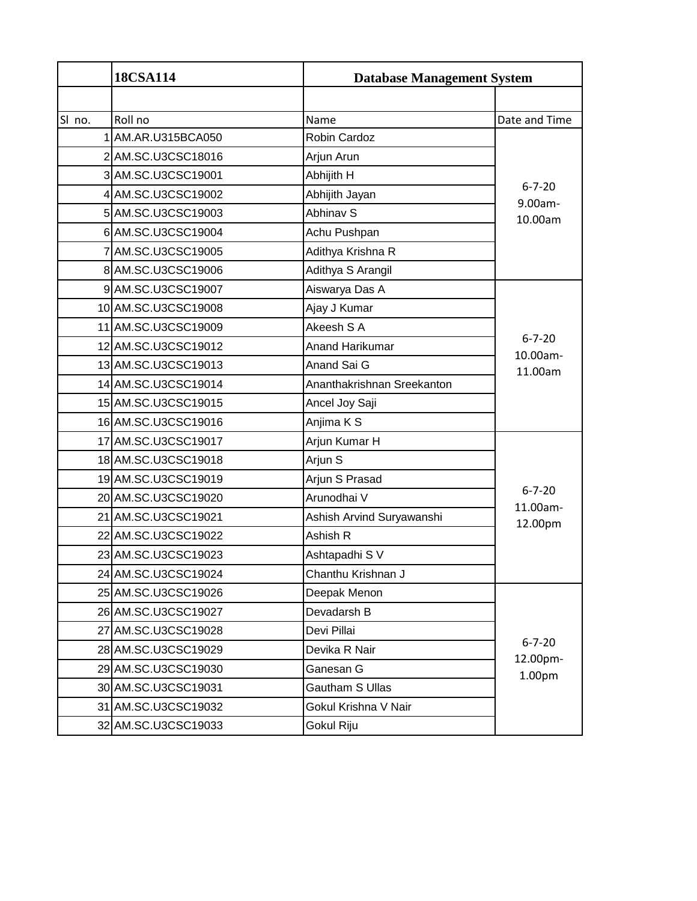|        | <b>18CSA114</b>     | <b>Database Management System</b> |                          |
|--------|---------------------|-----------------------------------|--------------------------|
|        |                     |                                   |                          |
| SI no. | Roll no             | Name                              | Date and Time            |
|        | 1 AM.AR.U315BCA050  | Robin Cardoz                      |                          |
|        | 2 AM.SC.U3CSC18016  | Arjun Arun                        |                          |
|        | 3 AM.SC.U3CSC19001  | Abhijith H                        |                          |
|        | 4 AM.SC.U3CSC19002  | Abhijith Jayan                    | $6 - 7 - 20$<br>9.00am-  |
|        | 5 AM.SC.U3CSC19003  | <b>Abhinav S</b>                  | 10.00am                  |
|        | 6 AM.SC.U3CSC19004  | Achu Pushpan                      |                          |
|        | 7 AM.SC.U3CSC19005  | Adithya Krishna R                 |                          |
|        | 8 AM.SC.U3CSC19006  | Adithya S Arangil                 |                          |
|        | 9 AM.SC.U3CSC19007  | Aiswarya Das A                    |                          |
|        | 10 AM.SC.U3CSC19008 | Ajay J Kumar                      |                          |
|        | 11 AM.SC.U3CSC19009 | Akeesh S A                        |                          |
|        | 12 AM.SC.U3CSC19012 | Anand Harikumar                   | $6 - 7 - 20$<br>10.00am- |
|        | 13 AM.SC.U3CSC19013 | Anand Sai G                       | 11.00am                  |
|        | 14 AM.SC.U3CSC19014 | Ananthakrishnan Sreekanton        |                          |
|        | 15 AM.SC.U3CSC19015 | Ancel Joy Saji                    |                          |
|        | 16 AM.SC.U3CSC19016 | Anjima K S                        |                          |
|        | 17 AM.SC.U3CSC19017 | Arjun Kumar H                     |                          |
|        | 18 AM.SC.U3CSC19018 | Arjun S                           |                          |
|        | 19 AM.SC.U3CSC19019 | Arjun S Prasad                    |                          |
|        | 20 AM.SC.U3CSC19020 | Arunodhai V                       | $6 - 7 - 20$<br>11.00am- |
|        | 21 AM.SC.U3CSC19021 | Ashish Arvind Suryawanshi         | 12.00pm                  |
|        | 22 AM.SC.U3CSC19022 | Ashish R                          |                          |
|        | 23 AM.SC.U3CSC19023 | Ashtapadhi S V                    |                          |
|        | 24 AM.SC.U3CSC19024 | Chanthu Krishnan J                |                          |
|        | 25 AM.SC.U3CSC19026 | Deepak Menon                      |                          |
|        | 26 AM.SC.U3CSC19027 | Devadarsh B                       |                          |
|        | 27 AM.SC.U3CSC19028 | Devi Pillai                       |                          |
|        | 28 AM.SC.U3CSC19029 | Devika R Nair                     | $6 - 7 - 20$<br>12.00pm- |
|        | 29 AM.SC.U3CSC19030 | Ganesan G                         | 1.00pm                   |
|        | 30 AM.SC.U3CSC19031 | Gautham S Ullas                   |                          |
|        | 31 AM.SC.U3CSC19032 | Gokul Krishna V Nair              |                          |
|        | 32 AM.SC.U3CSC19033 | Gokul Riju                        |                          |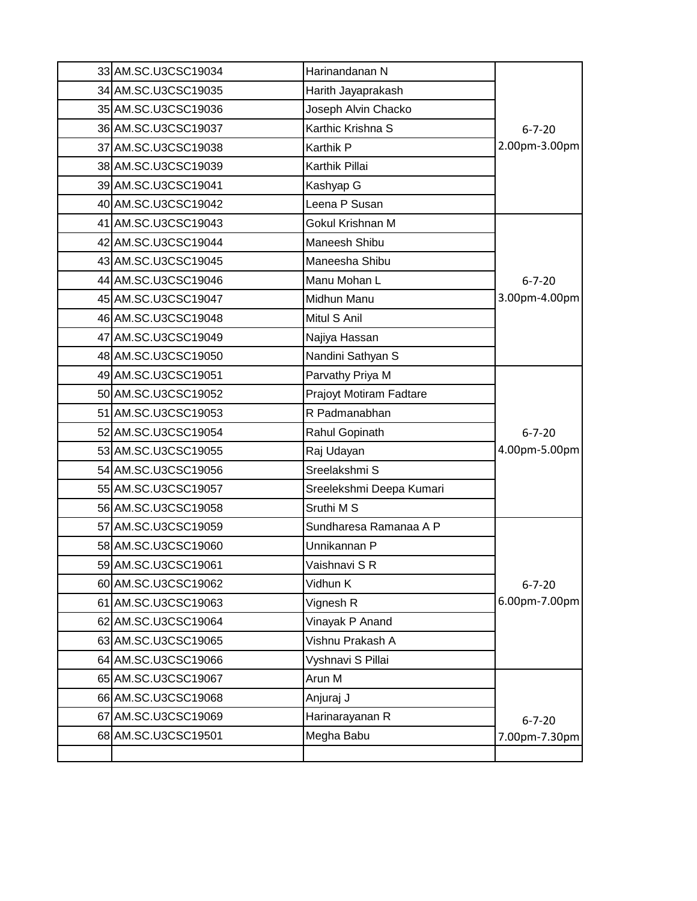| 33 AM.SC.U3CSC19034 | Harinandanan N           |               |
|---------------------|--------------------------|---------------|
| 34 AM.SC.U3CSC19035 | Harith Jayaprakash       |               |
| 35 AM.SC.U3CSC19036 | Joseph Alvin Chacko      |               |
| 36 AM.SC.U3CSC19037 | Karthic Krishna S        | $6 - 7 - 20$  |
| 37 AM.SC.U3CSC19038 | <b>Karthik P</b>         | 2.00pm-3.00pm |
| 38 AM.SC.U3CSC19039 | Karthik Pillai           |               |
| 39 AM.SC.U3CSC19041 | Kashyap G                |               |
| 40 AM.SC.U3CSC19042 | Leena P Susan            |               |
| 41 AM.SC.U3CSC19043 | Gokul Krishnan M         |               |
| 42 AM.SC.U3CSC19044 | Maneesh Shibu            |               |
| 43 AM.SC.U3CSC19045 | Maneesha Shibu           |               |
| 44 AM.SC.U3CSC19046 | Manu Mohan L             | $6 - 7 - 20$  |
| 45 AM.SC.U3CSC19047 | Midhun Manu              | 3.00pm-4.00pm |
| 46 AM.SC.U3CSC19048 | Mitul S Anil             |               |
| 47 AM.SC.U3CSC19049 | Najiya Hassan            |               |
| 48 AM.SC.U3CSC19050 | Nandini Sathyan S        |               |
| 49 AM.SC.U3CSC19051 | Parvathy Priya M         |               |
| 50 AM.SC.U3CSC19052 | Prajoyt Motiram Fadtare  |               |
| 51 AM.SC.U3CSC19053 | R Padmanabhan            |               |
| 52 AM.SC.U3CSC19054 | Rahul Gopinath           | $6 - 7 - 20$  |
| 53 AM.SC.U3CSC19055 | Raj Udayan               | 4.00pm-5.00pm |
| 54 AM.SC.U3CSC19056 | Sreelakshmi S            |               |
| 55 AM.SC.U3CSC19057 | Sreelekshmi Deepa Kumari |               |
| 56 AM.SC.U3CSC19058 | Sruthi M S               |               |
| 57 AM.SC.U3CSC19059 | Sundharesa Ramanaa A P   |               |
| 58 AM.SC.U3CSC19060 | Unnikannan P             |               |
| 59 AM.SC.U3CSC19061 | Vaishnavi S R            |               |
| 60 AM.SC.U3CSC19062 | Vidhun K                 | $6 - 7 - 20$  |
| 61 AM.SC.U3CSC19063 | Vignesh R                | 6.00pm-7.00pm |
| 62 AM.SC.U3CSC19064 | Vinayak P Anand          |               |
| 63 AM.SC.U3CSC19065 | Vishnu Prakash A         |               |
| 64 AM.SC.U3CSC19066 | Vyshnavi S Pillai        |               |
| 65 AM.SC.U3CSC19067 | Arun M                   |               |
| 66 AM.SC.U3CSC19068 | Anjuraj J                |               |
| 67 AM.SC.U3CSC19069 | Harinarayanan R          | $6 - 7 - 20$  |
| 68 AM.SC.U3CSC19501 | Megha Babu               | 7.00pm-7.30pm |
|                     |                          |               |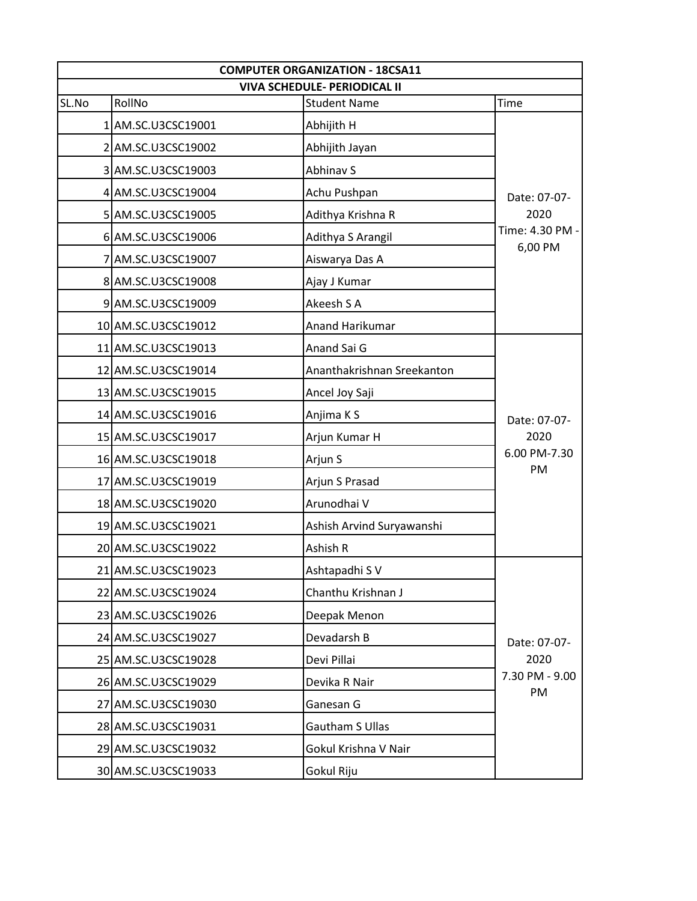|                 | <b>COMPUTER ORGANIZATION - 18CSA11</b><br><b>VIVA SCHEDULE- PERIODICAL II</b> |                     |
|-----------------|-------------------------------------------------------------------------------|---------------------|
| Time            | <b>Student Name</b>                                                           | RollNo<br>SL.No     |
|                 | Abhijith H                                                                    | 1 AM.SC.U3CSC19001  |
|                 | Abhijith Jayan                                                                | 2 AM.SC.U3CSC19002  |
|                 | <b>Abhinav S</b>                                                              | 3 AM.SC.U3CSC19003  |
| Date: 07-07-    | Achu Pushpan                                                                  | 4 AM.SC.U3CSC19004  |
| 2020            | Adithya Krishna R                                                             | 5 AM.SC.U3CSC19005  |
| Time: 4.30 PM - | Adithya S Arangil                                                             | 6 AM.SC.U3CSC19006  |
| 6,00 PM         | Aiswarya Das A                                                                | 7 AM.SC.U3CSC19007  |
|                 | Ajay J Kumar                                                                  | 8 AM.SC.U3CSC19008  |
|                 | Akeesh S A                                                                    | 9 AM.SC.U3CSC19009  |
|                 | <b>Anand Harikumar</b>                                                        | 10 AM.SC.U3CSC19012 |
|                 | Anand Sai G                                                                   | 11 AM.SC.U3CSC19013 |
|                 | Ananthakrishnan Sreekanton                                                    | 12 AM.SC.U3CSC19014 |
|                 | Ancel Joy Saji                                                                | 13 AM.SC.U3CSC19015 |
| Date: 07-07-    | Anjima K S                                                                    | 14 AM.SC.U3CSC19016 |
| 2020            | Arjun Kumar H                                                                 | 15 AM.SC.U3CSC19017 |
| 6.00 PM-7.30    | Arjun S                                                                       | 16 AM.SC.U3CSC19018 |
| PM              | Arjun S Prasad                                                                | 17 AM.SC.U3CSC19019 |
|                 | Arunodhai V                                                                   | 18 AM.SC.U3CSC19020 |
|                 | Ashish Arvind Suryawanshi                                                     | 19 AM.SC.U3CSC19021 |
|                 | Ashish R                                                                      | 20 AM.SC.U3CSC19022 |
|                 | Ashtapadhi S V                                                                | 21 AM.SC.U3CSC19023 |
|                 | Chanthu Krishnan J                                                            | 22 AM.SC.U3CSC19024 |
|                 | Deepak Menon                                                                  | 23 AM.SC.U3CSC19026 |
| Date: 07-07-    | Devadarsh B                                                                   | 24 AM.SC.U3CSC19027 |
| 2020            | Devi Pillai                                                                   | 25 AM.SC.U3CSC19028 |
| 7.30 PM - 9.00  | Devika R Nair                                                                 | 26 AM.SC.U3CSC19029 |
| PM              | Ganesan G                                                                     | 27 AM.SC.U3CSC19030 |
|                 | Gautham S Ullas                                                               | 28 AM.SC.U3CSC19031 |
|                 | Gokul Krishna V Nair                                                          | 29 AM.SC.U3CSC19032 |
|                 | Gokul Riju                                                                    | 30 AM.SC.U3CSC19033 |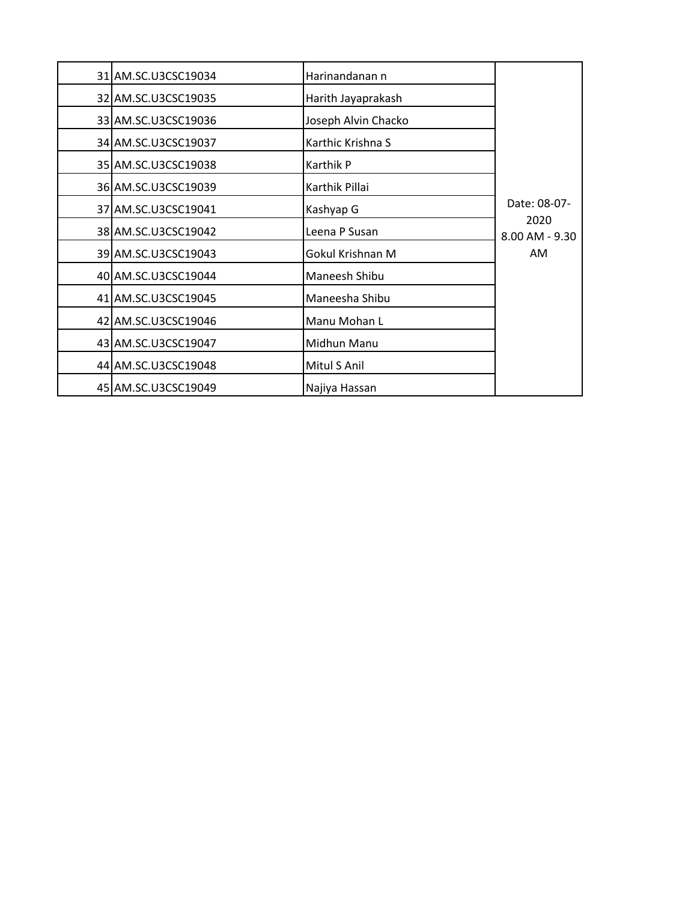| 31 AM.SC.U3CSC19034 | Harinandanan n      |                            |
|---------------------|---------------------|----------------------------|
| 32 AM.SC.U3CSC19035 | Harith Jayaprakash  |                            |
| 33 AM.SC.U3CSC19036 | Joseph Alvin Chacko |                            |
| 34 AM.SC.U3CSC19037 | Karthic Krishna S   |                            |
| 35 AM.SC.U3CSC19038 | Karthik P           |                            |
| 36 AM.SC.U3CSC19039 | Karthik Pillai      |                            |
| 37 AM.SC.U3CSC19041 | Kashyap G           | Date: 08-07-               |
| 38 AM.SC.U3CSC19042 | Leena P Susan       | 2020<br>$8.00$ AM - $9.30$ |
| 39 AM.SC.U3CSC19043 | Gokul Krishnan M    | AM                         |
| 40 AM.SC.U3CSC19044 | Maneesh Shibu       |                            |
| 41 AM.SC.U3CSC19045 | Maneesha Shibu      |                            |
| 42 AM.SC.U3CSC19046 | Manu Mohan L        |                            |
| 43 AM.SC.U3CSC19047 | Midhun Manu         |                            |
| 44 AM.SC.U3CSC19048 | Mitul S Anil        |                            |
| 45 AM.SC.U3CSC19049 | Najiya Hassan       |                            |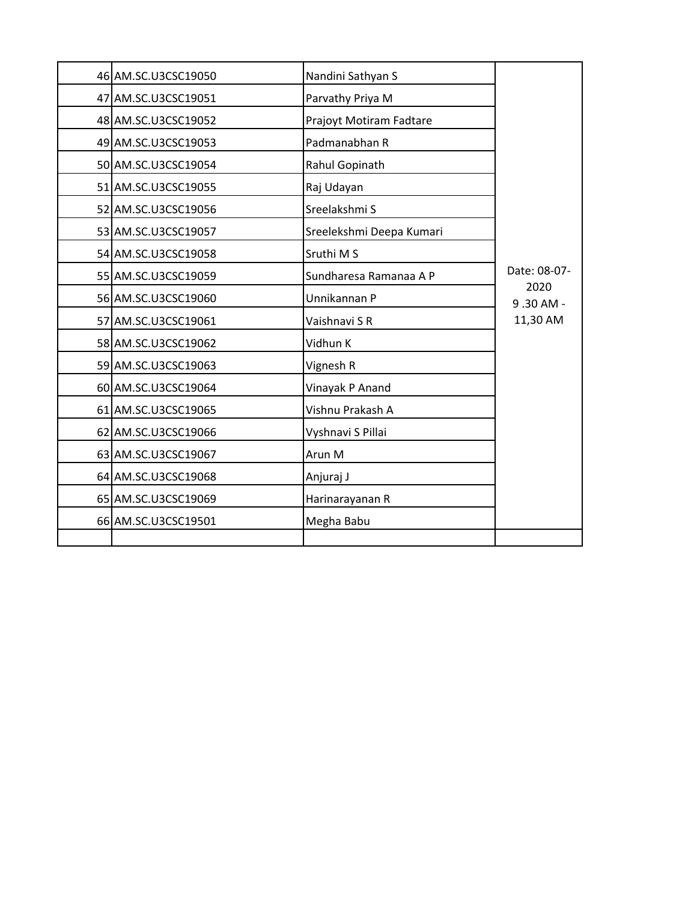| 46 AM.SC.U3CSC19050 | Nandini Sathyan S        |                   |
|---------------------|--------------------------|-------------------|
| 47 AM.SC.U3CSC19051 | Parvathy Priya M         |                   |
| 48 AM.SC.U3CSC19052 | Prajoyt Motiram Fadtare  |                   |
| 49 AM.SC.U3CSC19053 | Padmanabhan R            |                   |
| 50 AM.SC.U3CSC19054 | Rahul Gopinath           |                   |
| 51 AM.SC.U3CSC19055 | Raj Udayan               |                   |
| 52 AM.SC.U3CSC19056 | Sreelakshmi S            |                   |
| 53 AM.SC.U3CSC19057 | Sreelekshmi Deepa Kumari |                   |
| 54 AM.SC.U3CSC19058 | Sruthi M S               |                   |
| 55 AM.SC.U3CSC19059 | Sundharesa Ramanaa A P   | Date: 08-07-      |
| 56 AM.SC.U3CSC19060 | Unnikannan P             | 2020<br>9.30 AM - |
| 57 AM.SC.U3CSC19061 | Vaishnavi S R            | 11,30 AM          |
| 58 AM.SC.U3CSC19062 | Vidhun K                 |                   |
| 59 AM.SC.U3CSC19063 | Vignesh R                |                   |
| 60 AM.SC.U3CSC19064 | Vinayak P Anand          |                   |
| 61 AM.SC.U3CSC19065 | Vishnu Prakash A         |                   |
| 62 AM.SC.U3CSC19066 | Vyshnavi S Pillai        |                   |
| 63 AM.SC.U3CSC19067 | Arun M                   |                   |
| 64 AM.SC.U3CSC19068 | Anjuraj J                |                   |
| 65 AM.SC.U3CSC19069 | Harinarayanan R          |                   |
| 66 AM.SC.U3CSC19501 | Megha Babu               |                   |
|                     |                          |                   |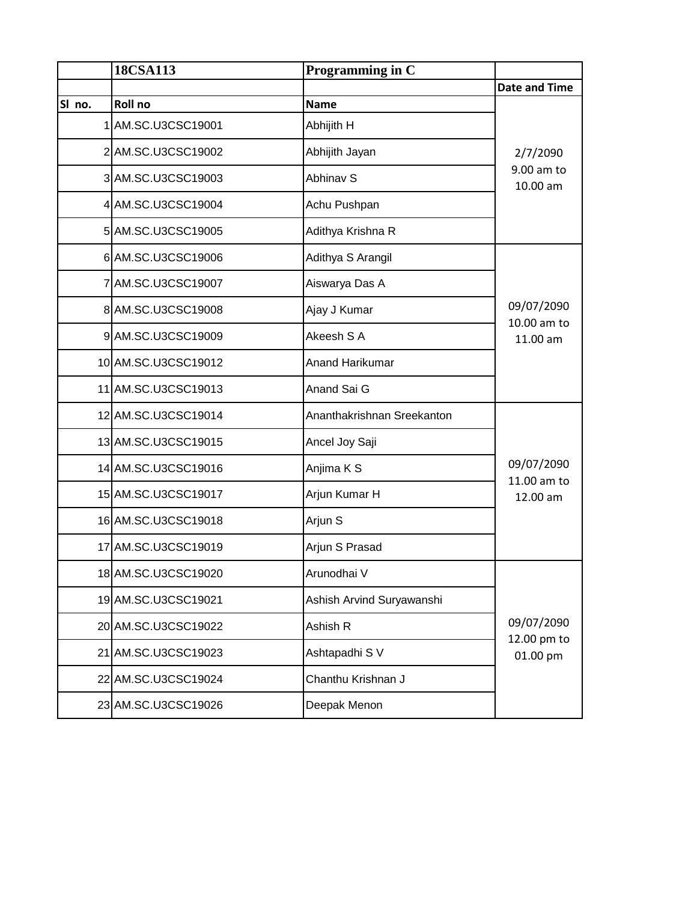|        | 18CSA113            | Programming in C           |                           |
|--------|---------------------|----------------------------|---------------------------|
|        |                     |                            | <b>Date and Time</b>      |
| SI no. | Roll no             | <b>Name</b>                |                           |
|        | 1 AM.SC.U3CSC19001  | Abhijith H                 |                           |
|        | 2 AM.SC.U3CSC19002  | Abhijith Jayan             | 2/7/2090                  |
|        | 3 AM.SC.U3CSC19003  | Abhinav S                  | 9.00 am to<br>10.00 am    |
|        | 4 AM.SC.U3CSC19004  | Achu Pushpan               |                           |
|        | 5 AM.SC.U3CSC19005  | Adithya Krishna R          |                           |
|        | 6 AM.SC.U3CSC19006  | Adithya S Arangil          |                           |
|        | 7 AM.SC.U3CSC19007  | Aiswarya Das A             |                           |
|        | 8 AM.SC.U3CSC19008  | Ajay J Kumar               | 09/07/2090<br>10.00 am to |
|        | 9 AM.SC.U3CSC19009  | Akeesh S A                 | 11.00 am                  |
|        | 10 AM.SC.U3CSC19012 | Anand Harikumar            |                           |
|        | 11 AM.SC.U3CSC19013 | Anand Sai G                |                           |
|        | 12 AM.SC.U3CSC19014 | Ananthakrishnan Sreekanton |                           |
|        | 13 AM.SC.U3CSC19015 | Ancel Joy Saji             |                           |
|        | 14 AM.SC.U3CSC19016 | Anjima K S                 | 09/07/2090<br>11.00 am to |
|        | 15 AM.SC.U3CSC19017 | Arjun Kumar H              | 12.00 am                  |
|        | 16 AM.SC.U3CSC19018 | Arjun S                    |                           |
|        | 17 AM.SC.U3CSC19019 | Arjun S Prasad             |                           |
|        | 18 AM.SC.U3CSC19020 | Arunodhai V                |                           |
|        | 19 AM.SC.U3CSC19021 | Ashish Arvind Suryawanshi  |                           |
|        | 20 AM.SC.U3CSC19022 | Ashish R                   | 09/07/2090<br>12.00 pm to |
|        | 21 AM.SC.U3CSC19023 | Ashtapadhi S V             | 01.00 pm                  |
|        | 22 AM.SC.U3CSC19024 | Chanthu Krishnan J         |                           |
|        | 23 AM.SC.U3CSC19026 | Deepak Menon               |                           |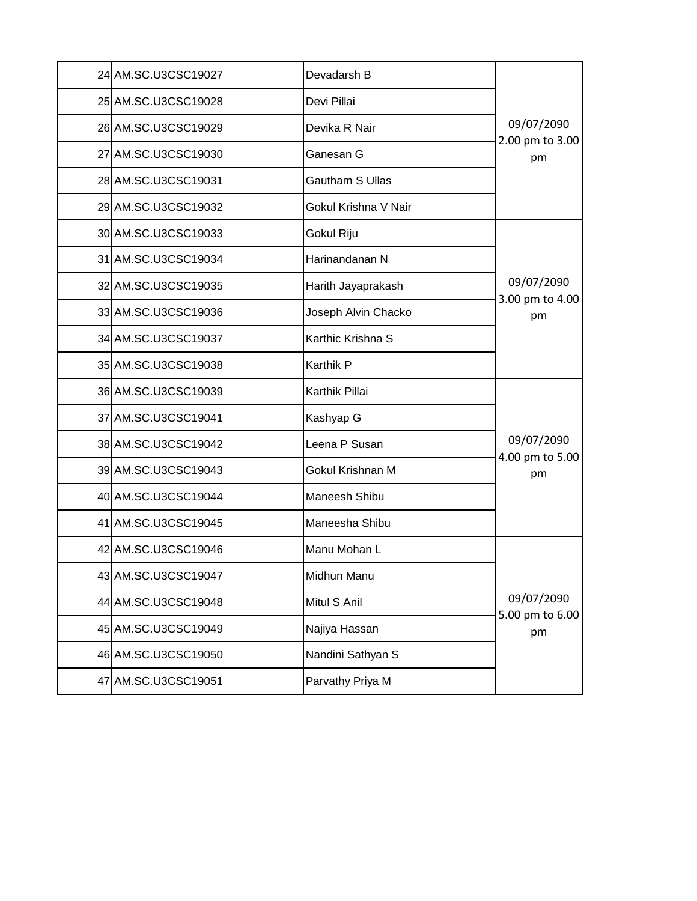| 24 AM.SC.U3CSC19027 | Devadarsh B          |                               |
|---------------------|----------------------|-------------------------------|
| 25 AM.SC.U3CSC19028 | Devi Pillai          |                               |
| 26 AM.SC.U3CSC19029 | Devika R Nair        | 09/07/2090                    |
| 27 AM.SC.U3CSC19030 | Ganesan G            | 2.00 pm to 3.00<br>pm         |
| 28 AM.SC.U3CSC19031 | Gautham S Ullas      |                               |
| 29 AM.SC.U3CSC19032 | Gokul Krishna V Nair |                               |
| 30 AM.SC.U3CSC19033 | Gokul Riju           |                               |
| 31 AM.SC.U3CSC19034 | Harinandanan N       |                               |
| 32 AM.SC.U3CSC19035 | Harith Jayaprakash   | 09/07/2090<br>3.00 pm to 4.00 |
| 33 AM.SC.U3CSC19036 | Joseph Alvin Chacko  | pm                            |
| 34 AM.SC.U3CSC19037 | Karthic Krishna S    |                               |
| 35 AM.SC.U3CSC19038 | Karthik P            |                               |
| 36 AM.SC.U3CSC19039 | Karthik Pillai       |                               |
| 37 AM.SC.U3CSC19041 | Kashyap G            |                               |
| 38 AM.SC.U3CSC19042 | Leena P Susan        | 09/07/2090<br>4.00 pm to 5.00 |
| 39 AM.SC.U3CSC19043 | Gokul Krishnan M     | pm                            |
| 40 AM.SC.U3CSC19044 | Maneesh Shibu        |                               |
| 41 AM.SC.U3CSC19045 | Maneesha Shibu       |                               |
| 42 AM.SC.U3CSC19046 | Manu Mohan L         |                               |
| 43 AM.SC.U3CSC19047 | Midhun Manu          |                               |
| 44 AM.SC.U3CSC19048 | Mitul S Anil         | 09/07/2090<br>5.00 pm to 6.00 |
| 45 AM.SC.U3CSC19049 | Najiya Hassan        | pm                            |
| 46 AM.SC.U3CSC19050 | Nandini Sathyan S    |                               |
|                     |                      |                               |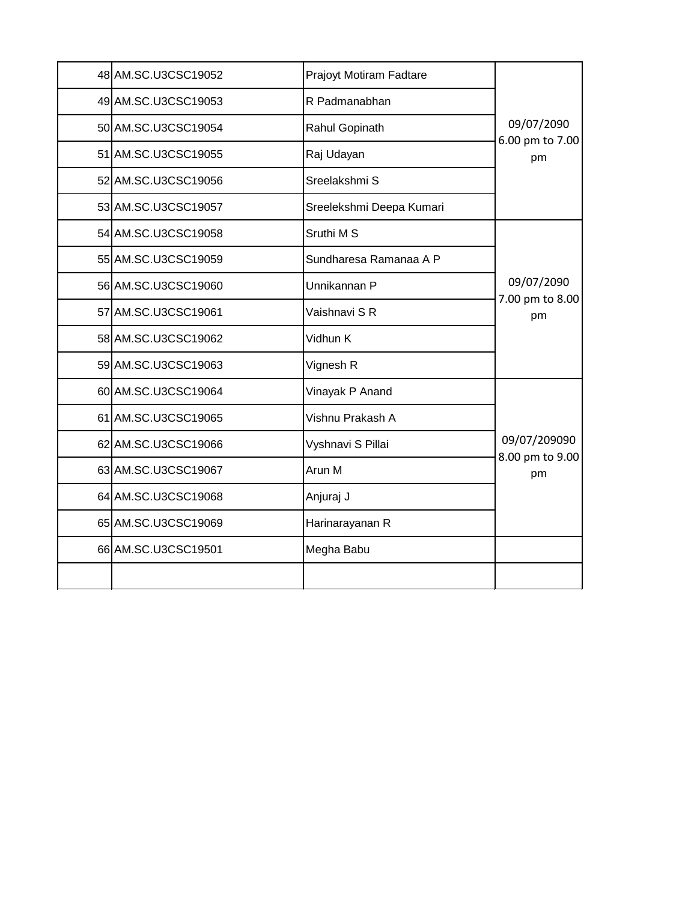| 48 AM.SC.U3CSC19052 | Prajoyt Motiram Fadtare  |                                 |
|---------------------|--------------------------|---------------------------------|
| 49 AM.SC.U3CSC19053 | R Padmanabhan            |                                 |
| 50 AM.SC.U3CSC19054 | Rahul Gopinath           | 09/07/2090<br>6.00 pm to 7.00   |
| 51 AM.SC.U3CSC19055 | Raj Udayan               | pm                              |
| 52 AM.SC.U3CSC19056 | Sreelakshmi S            |                                 |
| 53 AM.SC.U3CSC19057 | Sreelekshmi Deepa Kumari |                                 |
| 54 AM.SC.U3CSC19058 | Sruthi M S               |                                 |
| 55 AM.SC.U3CSC19059 | Sundharesa Ramanaa A P   |                                 |
| 56 AM.SC.U3CSC19060 | Unnikannan P             | 09/07/2090<br>7.00 pm to 8.00   |
| 57 AM.SC.U3CSC19061 | Vaishnavi S R            | pm                              |
| 58 AM.SC.U3CSC19062 | Vidhun K                 |                                 |
| 59 AM.SC.U3CSC19063 | Vignesh R                |                                 |
| 60 AM.SC.U3CSC19064 | Vinayak P Anand          |                                 |
| 61 AM.SC.U3CSC19065 | Vishnu Prakash A         |                                 |
| 62 AM.SC.U3CSC19066 | Vyshnavi S Pillai        | 09/07/209090<br>8.00 pm to 9.00 |
| 63 AM.SC.U3CSC19067 | Arun M                   | pm                              |
| 64 AM.SC.U3CSC19068 | Anjuraj J                |                                 |
| 65 AM.SC.U3CSC19069 | Harinarayanan R          |                                 |
| 66 AM.SC.U3CSC19501 | Megha Babu               |                                 |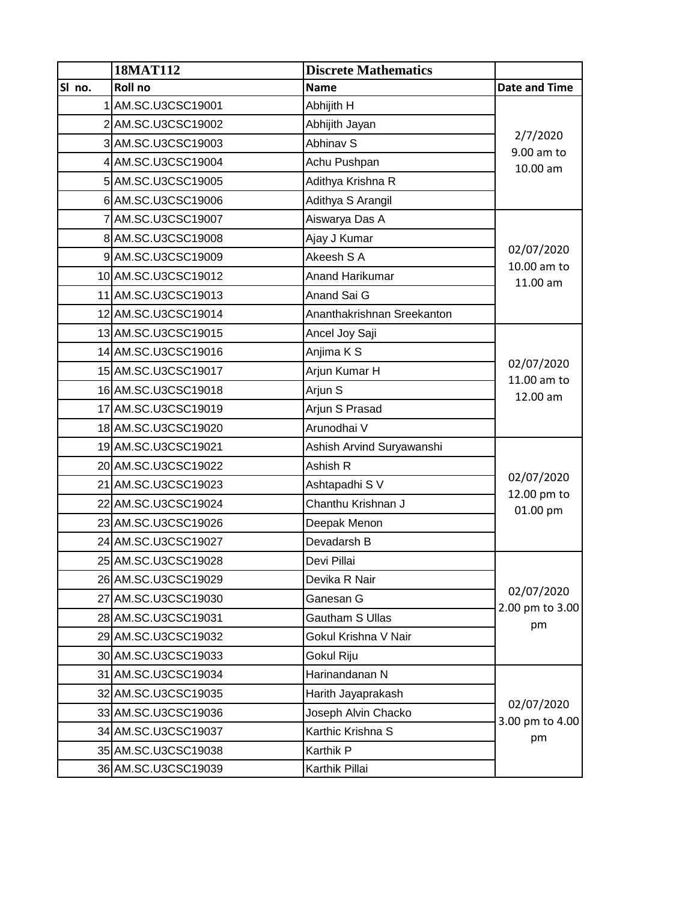|        | 18MAT112            | <b>Discrete Mathematics</b> |                                       |
|--------|---------------------|-----------------------------|---------------------------------------|
| SI no. | Roll no             | <b>Name</b>                 | <b>Date and Time</b>                  |
|        | AM.SC.U3CSC19001    | Abhijith H                  |                                       |
|        | 2AM.SC.U3CSC19002   | Abhijith Jayan              |                                       |
|        | 3 AM.SC.U3CSC19003  | Abhinav S                   | 2/7/2020<br>9.00 am to                |
|        | 4 AM.SC.U3CSC19004  | Achu Pushpan                | 10.00 am                              |
|        | 5 AM.SC.U3CSC19005  | Adithya Krishna R           |                                       |
|        | 6 AM.SC.U3CSC19006  | Adithya S Arangil           |                                       |
|        | 7 AM.SC.U3CSC19007  | Aiswarya Das A              |                                       |
|        | 8 AM.SC.U3CSC19008  | Ajay J Kumar                |                                       |
|        | 9 AM.SC.U3CSC19009  | Akeesh S A                  | 02/07/2020<br>10.00 am to             |
|        | 10 AM.SC.U3CSC19012 | Anand Harikumar             | 11.00 am                              |
|        | 11 AM.SC.U3CSC19013 | Anand Sai G                 |                                       |
|        | 12 AM.SC.U3CSC19014 | Ananthakrishnan Sreekanton  |                                       |
|        | 13 AM.SC.U3CSC19015 | Ancel Joy Saji              |                                       |
|        | 14 AM.SC.U3CSC19016 | Anjima K S                  |                                       |
|        | 15 AM.SC.U3CSC19017 | Arjun Kumar H               | 02/07/2020<br>11.00 am to<br>12.00 am |
|        | 16 AM.SC.U3CSC19018 | Arjun S                     |                                       |
|        | 17 AM.SC.U3CSC19019 | Arjun S Prasad              |                                       |
|        | 18 AM.SC.U3CSC19020 | Arunodhai V                 |                                       |
|        | 19 AM.SC.U3CSC19021 | Ashish Arvind Suryawanshi   |                                       |
|        | 20 AM.SC.U3CSC19022 | Ashish R                    |                                       |
|        | 21 AM.SC.U3CSC19023 | Ashtapadhi S V              | 02/07/2020                            |
|        | 22 AM.SC.U3CSC19024 | Chanthu Krishnan J          | 12.00 pm to<br>01.00 pm               |
|        | 23 AM.SC.U3CSC19026 | Deepak Menon                |                                       |
|        | 24 AM.SC.U3CSC19027 | Devadarsh B                 |                                       |
|        | 25 AM.SC.U3CSC19028 | Devi Pillai                 |                                       |
|        | 26 AM.SC.U3CSC19029 | Devika R Nair               |                                       |
|        | 27 AM.SC.U3CSC19030 | Ganesan G                   | 02/07/2020                            |
|        | 28 AM.SC.U3CSC19031 | <b>Gautham S Ullas</b>      | 2.00 pm to 3.00<br>pm                 |
|        | 29 AM.SC.U3CSC19032 | Gokul Krishna V Nair        |                                       |
|        | 30 AM.SC.U3CSC19033 | Gokul Riju                  |                                       |
|        | 31 AM.SC.U3CSC19034 | Harinandanan N              |                                       |
|        | 32 AM.SC.U3CSC19035 | Harith Jayaprakash          |                                       |
|        | 33 AM.SC.U3CSC19036 | Joseph Alvin Chacko         | 02/07/2020                            |
|        | 34 AM.SC.U3CSC19037 | Karthic Krishna S           | 3.00 pm to 4.00<br>pm                 |
|        | 35 AM.SC.U3CSC19038 | Karthik P                   |                                       |
|        | 36 AM.SC.U3CSC19039 | Karthik Pillai              |                                       |